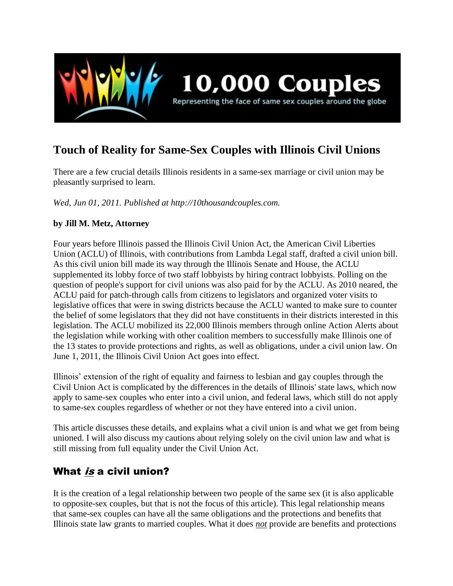

# **Touch of Reality for Same-Sex Couples with Illinois Civil Unions**

There are a few crucial details Illinois residents in a same-sex marriage or civil union may be pleasantly surprised to learn.

*Wed, Jun 01, 2011. Published at http://10thousandcouples.com.*

### **by Jill M. Metz, Attorney**

Four years before Illinois passed the Illinois Civil Union Act, the American Civil Liberties Union (ACLU) of Illinois, with contributions from Lambda Legal staff, drafted a civil union bill. As this civil union bill made its way through the Illinois Senate and House, the ACLU supplemented its lobby force of two staff lobbyists by hiring contract lobbyists. Polling on the question of people's support for civil unions was also paid for by the ACLU. As 2010 neared, the ACLU paid for patch-through calls from citizens to legislators and organized voter visits to legislative offices that were in swing districts because the ACLU wanted to make sure to counter the belief of some legislators that they did not have constituents in their districts interested in this legislation. The ACLU mobilized its 22,000 Illinois members through online Action Alerts about the legislation while working with other coalition members to successfully make Illinois one of the 13 states to provide protections and rights, as well as obligations, under a civil union law. On June 1, 2011, the Illinois Civil Union Act goes into effect.

Illinois' extension of the right of equality and fairness to lesbian and gay couples through the Civil Union Act is complicated by the differences in the details of Illinois' state laws, which now apply to same-sex couples who enter into a civil union, and federal laws, which still do not apply to same-sex couples regardless of whether or not they have entered into a civil union.

This article discusses these details, and explains what a civil union is and what we get from being unioned. I will also discuss my cautions about relying solely on the civil union law and what is still missing from full equality under the Civil Union Act.

## What is a civil union?

It is the creation of a legal relationship between two people of the same sex (it is also applicable to opposite-sex couples, but that is not the focus of this article). This legal relationship means that same-sex couples can have all the same obligations and the protections and benefits that Illinois state law grants to married couples. What it does *not* provide are benefits and protections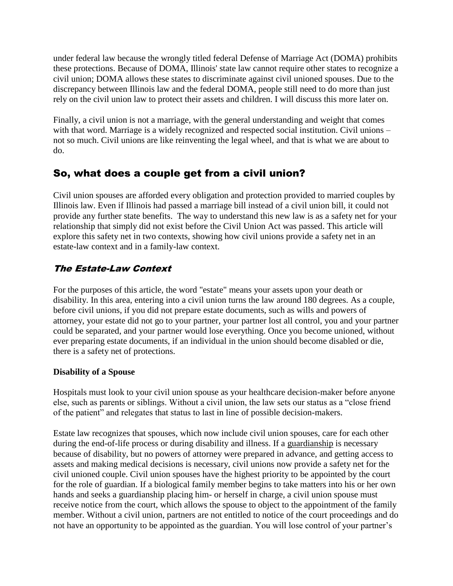under federal law because the wrongly titled federal Defense of Marriage Act (DOMA) prohibits these protections. Because of DOMA, Illinois' state law cannot require other states to recognize a civil union; DOMA allows these states to discriminate against civil unioned spouses. Due to the discrepancy between Illinois law and the federal DOMA, people still need to do more than just rely on the civil union law to protect their assets and children. I will discuss this more later on.

Finally, a civil union is not a marriage, with the general understanding and weight that comes with that word. Marriage is a widely recognized and respected social institution. Civil unions – not so much. Civil unions are like reinventing the legal wheel, and that is what we are about to do.

## So, what does a couple get from a civil union?

Civil union spouses are afforded every obligation and protection provided to married couples by Illinois law. Even if Illinois had passed a marriage bill instead of a civil union bill, it could not provide any further state benefits. The way to understand this new law is as a safety net for your relationship that simply did not exist before the Civil Union Act was passed. This article will explore this safety net in two contexts, showing how civil unions provide a safety net in an estate-law context and in a family-law context.

### The Estate-Law Context

For the purposes of this article, the word "estate" means your assets upon your death or disability. In this area, entering into a civil union turns the law around 180 degrees. As a couple, before civil unions, if you did not prepare estate documents, such as wills and powers of attorney, your estate did not go to your partner, your partner lost all control, you and your partner could be separated, and your partner would lose everything. Once you become unioned, without ever preparing estate documents, if an individual in the union should become disabled or die, there is a safety net of protections.

### **Disability of a Spouse**

Hospitals must look to your civil union spouse as your healthcare decision-maker before anyone else, such as parents or siblings. Without a civil union, the law sets our status as a "close friend of the patient" and relegates that status to last in line of possible decision-makers.

Estate law recognizes that spouses, which now include civil union spouses, care for each other during the end-of-life process or during disability and illness. If a guardianship is necessary because of disability, but no powers of attorney were prepared in advance, and getting access to assets and making medical decisions is necessary, civil unions now provide a safety net for the civil unioned couple. Civil union spouses have the highest priority to be appointed by the court for the role of guardian. If a biological family member begins to take matters into his or her own hands and seeks a guardianship placing him- or herself in charge, a civil union spouse must receive notice from the court, which allows the spouse to object to the appointment of the family member. Without a civil union, partners are not entitled to notice of the court proceedings and do not have an opportunity to be appointed as the guardian. You will lose control of your partner's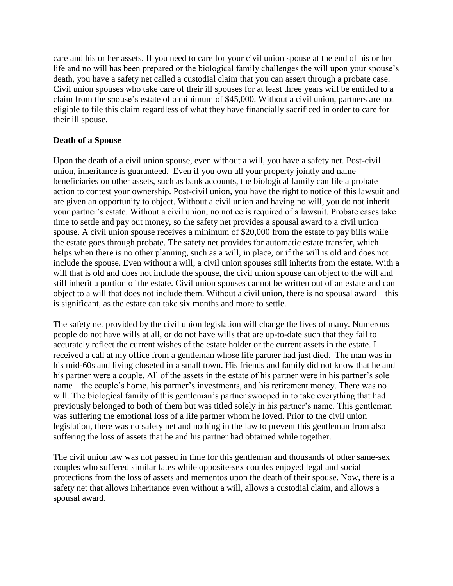care and his or her assets. If you need to care for your civil union spouse at the end of his or her life and no will has been prepared or the biological family challenges the will upon your spouse's death, you have a safety net called a custodial claim that you can assert through a probate case. Civil union spouses who take care of their ill spouses for at least three years will be entitled to a claim from the spouse's estate of a minimum of \$45,000. Without a civil union, partners are not eligible to file this claim regardless of what they have financially sacrificed in order to care for their ill spouse.

### **Death of a Spouse**

Upon the death of a civil union spouse, even without a will, you have a safety net. Post-civil union, inheritance is guaranteed. Even if you own all your property jointly and name beneficiaries on other assets, such as bank accounts, the biological family can file a probate action to contest your ownership. Post-civil union, you have the right to notice of this lawsuit and are given an opportunity to object. Without a civil union and having no will, you do not inherit your partner's estate. Without a civil union, no notice is required of a lawsuit. Probate cases take time to settle and pay out money, so the safety net provides a spousal award to a civil union spouse. A civil union spouse receives a minimum of \$20,000 from the estate to pay bills while the estate goes through probate. The safety net provides for automatic estate transfer, which helps when there is no other planning, such as a will, in place, or if the will is old and does not include the spouse. Even without a will, a civil union spouses still inherits from the estate. With a will that is old and does not include the spouse, the civil union spouse can object to the will and still inherit a portion of the estate. Civil union spouses cannot be written out of an estate and can object to a will that does not include them. Without a civil union, there is no spousal award – this is significant, as the estate can take six months and more to settle.

The safety net provided by the civil union legislation will change the lives of many. Numerous people do not have wills at all, or do not have wills that are up-to-date such that they fail to accurately reflect the current wishes of the estate holder or the current assets in the estate. I received a call at my office from a gentleman whose life partner had just died. The man was in his mid-60s and living closeted in a small town. His friends and family did not know that he and his partner were a couple. All of the assets in the estate of his partner were in his partner's sole name – the couple's home, his partner's investments, and his retirement money. There was no will. The biological family of this gentleman's partner swooped in to take everything that had previously belonged to both of them but was titled solely in his partner's name. This gentleman was suffering the emotional loss of a life partner whom he loved. Prior to the civil union legislation, there was no safety net and nothing in the law to prevent this gentleman from also suffering the loss of assets that he and his partner had obtained while together.

The civil union law was not passed in time for this gentleman and thousands of other same-sex couples who suffered similar fates while opposite-sex couples enjoyed legal and social protections from the loss of assets and mementos upon the death of their spouse. Now, there is a safety net that allows inheritance even without a will, allows a custodial claim, and allows a spousal award.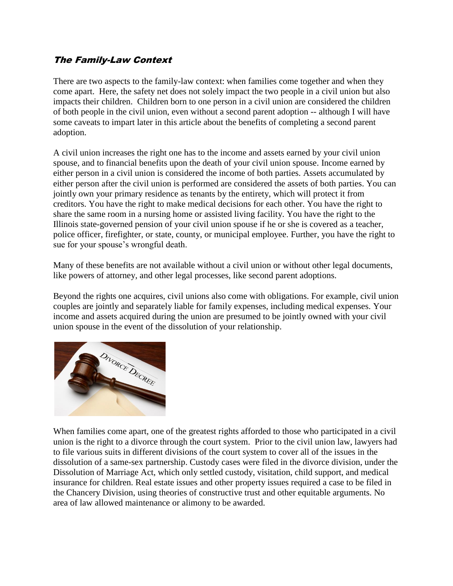### The Family-Law Context

There are two aspects to the family-law context: when families come together and when they come apart. Here, the safety net does not solely impact the two people in a civil union but also impacts their children. Children born to one person in a civil union are considered the children of both people in the civil union, even without a second parent adoption -- although I will have some caveats to impart later in this article about the benefits of completing a second parent adoption.

A civil union increases the right one has to the income and assets earned by your civil union spouse, and to financial benefits upon the death of your civil union spouse. Income earned by either person in a civil union is considered the income of both parties. Assets accumulated by either person after the civil union is performed are considered the assets of both parties. You can jointly own your primary residence as tenants by the entirety, which will protect it from creditors. You have the right to make medical decisions for each other. You have the right to share the same room in a nursing home or assisted living facility. You have the right to the Illinois state-governed pension of your civil union spouse if he or she is covered as a teacher, police officer, firefighter, or state, county, or municipal employee. Further, you have the right to sue for your spouse's wrongful death.

Many of these benefits are not available without a civil union or without other legal documents, like powers of attorney, and other legal processes, like second parent adoptions.

Beyond the rights one acquires, civil unions also come with obligations. For example, civil union couples are jointly and separately liable for family expenses, including medical expenses. Your income and assets acquired during the union are presumed to be jointly owned with your civil union spouse in the event of the dissolution of your relationship.



When families come apart, one of the greatest rights afforded to those who participated in a civil union is the right to a divorce through the court system. Prior to the civil union law, lawyers had to file various suits in different divisions of the court system to cover all of the issues in the dissolution of a same-sex partnership. Custody cases were filed in the divorce division, under the Dissolution of Marriage Act, which only settled custody, visitation, child support, and medical insurance for children. Real estate issues and other property issues required a case to be filed in the Chancery Division, using theories of constructive trust and other equitable arguments. No area of law allowed maintenance or alimony to be awarded.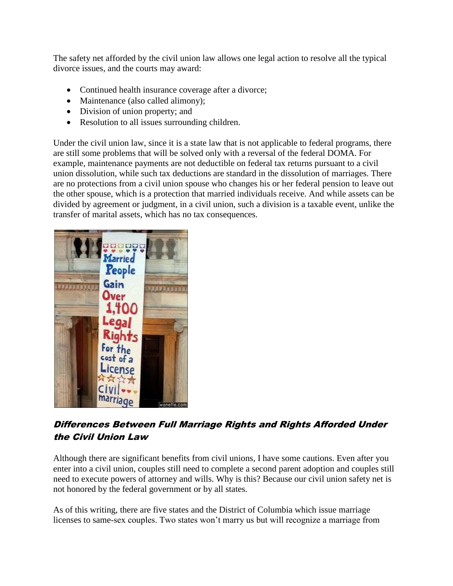The safety net afforded by the civil union law allows one legal action to resolve all the typical divorce issues, and the courts may award:

- Continued health insurance coverage after a divorce;
- Maintenance (also called alimony);
- Division of union property; and
- Resolution to all issues surrounding children.

Under the civil union law, since it is a state law that is not applicable to federal programs, there are still some problems that will be solved only with a reversal of the federal DOMA. For example, maintenance payments are not deductible on federal tax returns pursuant to a civil union dissolution, while such tax deductions are standard in the dissolution of marriages. There are no protections from a civil union spouse who changes his or her federal pension to leave out the other spouse, which is a protection that married individuals receive. And while assets can be divided by agreement or judgment, in a civil union, such a division is a taxable event, unlike the transfer of marital assets, which has no tax consequences.



### Differences Between Full Marriage Rights and Rights Afforded Under the Civil Union Law

Although there are significant benefits from civil unions, I have some cautions. Even after you enter into a civil union, couples still need to complete a second parent adoption and couples still need to execute powers of attorney and wills. Why is this? Because our civil union safety net is not honored by the federal government or by all states.

As of this writing, there are five states and the District of Columbia which issue marriage licenses to same-sex couples. Two states won't marry us but will recognize a marriage from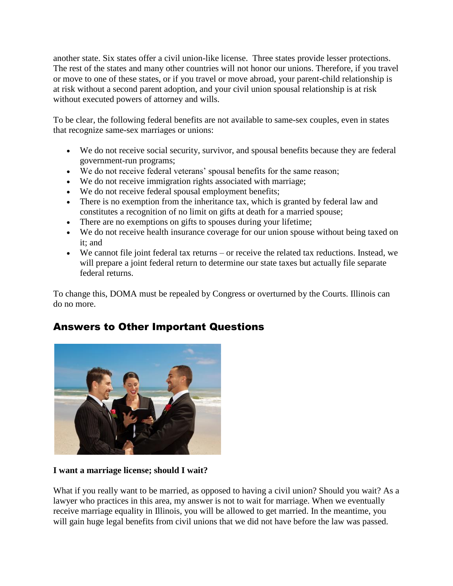another state. Six states offer a civil union-like license. Three states provide lesser protections. The rest of the states and many other countries will not honor our unions. Therefore, if you travel or move to one of these states, or if you travel or move abroad, your parent-child relationship is at risk without a second parent adoption, and your civil union spousal relationship is at risk without executed powers of attorney and wills.

To be clear, the following federal benefits are not available to same-sex couples, even in states that recognize same-sex marriages or unions:

- We do not receive social security, survivor, and spousal benefits because they are federal government-run programs;
- We do not receive federal veterans' spousal benefits for the same reason;
- We do not receive immigration rights associated with marriage;
- We do not receive federal spousal employment benefits;
- There is no exemption from the inheritance tax, which is granted by federal law and constitutes a recognition of no limit on gifts at death for a married spouse;
- There are no exemptions on gifts to spouses during your lifetime;
- We do not receive health insurance coverage for our union spouse without being taxed on it; and
- We cannot file joint federal tax returns or receive the related tax reductions. Instead, we will prepare a joint federal return to determine our state taxes but actually file separate federal returns.

To change this, DOMA must be repealed by Congress or overturned by the Courts. Illinois can do no more.

## Answers to Other Important Questions



#### **I want a marriage license; should I wait?**

What if you really want to be married, as opposed to having a civil union? Should you wait? As a lawyer who practices in this area, my answer is not to wait for marriage. When we eventually receive marriage equality in Illinois, you will be allowed to get married. In the meantime, you will gain huge legal benefits from civil unions that we did not have before the law was passed.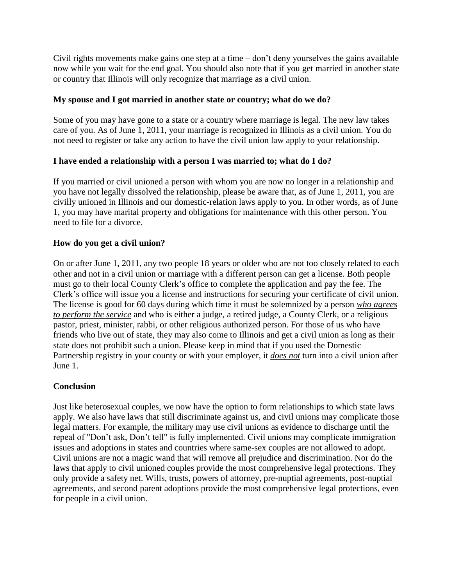Civil rights movements make gains one step at a time – don't deny yourselves the gains available now while you wait for the end goal. You should also note that if you get married in another state or country that Illinois will only recognize that marriage as a civil union.

### **My spouse and I got married in another state or country; what do we do?**

Some of you may have gone to a state or a country where marriage is legal. The new law takes care of you. As of June 1, 2011, your marriage is recognized in Illinois as a civil union. You do not need to register or take any action to have the civil union law apply to your relationship.

### **I have ended a relationship with a person I was married to; what do I do?**

If you married or civil unioned a person with whom you are now no longer in a relationship and you have not legally dissolved the relationship, please be aware that, as of June 1, 2011, you are civilly unioned in Illinois and our domestic-relation laws apply to you. In other words, as of June 1, you may have marital property and obligations for maintenance with this other person. You need to file for a divorce.

#### **How do you get a civil union?**

On or after June 1, 2011, any two people 18 years or older who are not too closely related to each other and not in a civil union or marriage with a different person can get a license. Both people must go to their local County Clerk's office to complete the application and pay the fee. The Clerk's office will issue you a license and instructions for securing your certificate of civil union. The license is good for 60 days during which time it must be solemnized by a person *who agrees to perform the service* and who is either a judge, a retired judge, a County Clerk, or a religious pastor, priest, minister, rabbi, or other religious authorized person. For those of us who have friends who live out of state, they may also come to Illinois and get a civil union as long as their state does not prohibit such a union. Please keep in mind that if you used the Domestic Partnership registry in your county or with your employer, it *does not* turn into a civil union after June 1.

#### **Conclusion**

Just like heterosexual couples, we now have the option to form relationships to which state laws apply. We also have laws that still discriminate against us, and civil unions may complicate those legal matters. For example, the military may use civil unions as evidence to discharge until the repeal of "Don't ask, Don't tell" is fully implemented. Civil unions may complicate immigration issues and adoptions in states and countries where same-sex couples are not allowed to adopt. Civil unions are not a magic wand that will remove all prejudice and discrimination. Nor do the laws that apply to civil unioned couples provide the most comprehensive legal protections. They only provide a safety net. Wills, trusts, powers of attorney, pre-nuptial agreements, post-nuptial agreements, and second parent adoptions provide the most comprehensive legal protections, even for people in a civil union.